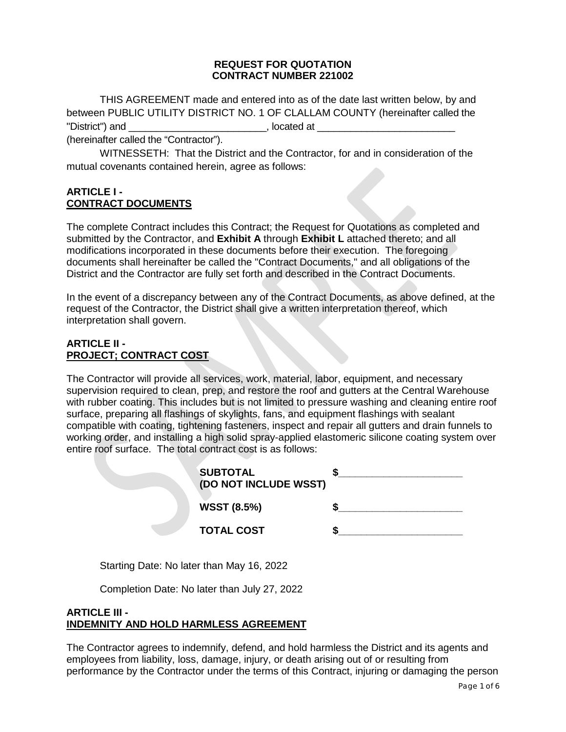#### **REQUEST FOR QUOTATION CONTRACT NUMBER 221002**

THIS AGREEMENT made and entered into as of the date last written below, by and between PUBLIC UTILITY DISTRICT NO. 1 OF CLALLAM COUNTY (hereinafter called the "District") and \_\_\_\_\_\_\_\_\_\_\_\_\_\_\_\_\_\_\_\_\_\_\_\_\_, located at \_\_\_\_\_\_\_\_\_\_\_\_\_\_\_\_\_\_\_\_\_\_\_\_\_

(hereinafter called the "Contractor").

WITNESSETH: That the District and the Contractor, for and in consideration of the mutual covenants contained herein, agree as follows:

### **ARTICLE I - CONTRACT DOCUMENTS**

The complete Contract includes this Contract; the Request for Quotations as completed and submitted by the Contractor, and **Exhibit A** through **Exhibit L** attached thereto; and all modifications incorporated in these documents before their execution. The foregoing documents shall hereinafter be called the "Contract Documents," and all obligations of the District and the Contractor are fully set forth and described in the Contract Documents.

In the event of a discrepancy between any of the Contract Documents, as above defined, at the request of the Contractor, the District shall give a written interpretation thereof, which interpretation shall govern.

### **ARTICLE II - PROJECT; CONTRACT COST**

The Contractor will provide all services, work, material, labor, equipment, and necessary supervision required to clean, prep, and restore the roof and gutters at the Central Warehouse with rubber coating. This includes but is not limited to pressure washing and cleaning entire roof surface, preparing all flashings of skylights, fans, and equipment flashings with sealant compatible with coating, tightening fasteners, inspect and repair all gutters and drain funnels to working order, and installing a high solid spray-applied elastomeric silicone coating system over entire roof surface. The total contract cost is as follows:

| <b>SUBTOTAL</b><br>(DO NOT INCLUDE WSST) |  |
|------------------------------------------|--|
| <b>WSST (8.5%)</b>                       |  |
| <b>TOTAL COST</b>                        |  |
|                                          |  |

Starting Date: No later than May 16, 2022

Completion Date: No later than July 27, 2022

#### **ARTICLE III - INDEMNITY AND HOLD HARMLESS AGREEMENT**

The Contractor agrees to indemnify, defend, and hold harmless the District and its agents and employees from liability, loss, damage, injury, or death arising out of or resulting from performance by the Contractor under the terms of this Contract, injuring or damaging the person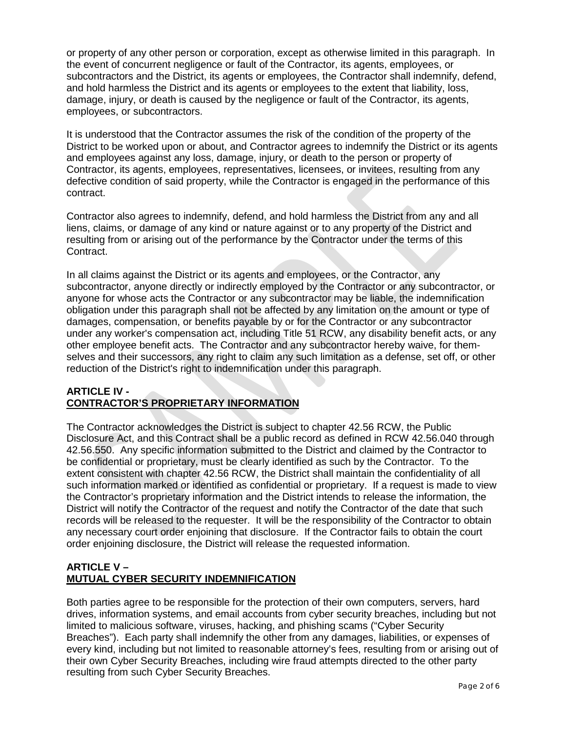or property of any other person or corporation, except as otherwise limited in this paragraph. In the event of concurrent negligence or fault of the Contractor, its agents, employees, or subcontractors and the District, its agents or employees, the Contractor shall indemnify, defend, and hold harmless the District and its agents or employees to the extent that liability, loss, damage, injury, or death is caused by the negligence or fault of the Contractor, its agents, employees, or subcontractors.

It is understood that the Contractor assumes the risk of the condition of the property of the District to be worked upon or about, and Contractor agrees to indemnify the District or its agents and employees against any loss, damage, injury, or death to the person or property of Contractor, its agents, employees, representatives, licensees, or invitees, resulting from any defective condition of said property, while the Contractor is engaged in the performance of this contract.

Contractor also agrees to indemnify, defend, and hold harmless the District from any and all liens, claims, or damage of any kind or nature against or to any property of the District and resulting from or arising out of the performance by the Contractor under the terms of this Contract.

In all claims against the District or its agents and employees, or the Contractor, any subcontractor, anyone directly or indirectly employed by the Contractor or any subcontractor, or anyone for whose acts the Contractor or any subcontractor may be liable, the indemnification obligation under this paragraph shall not be affected by any limitation on the amount or type of damages, compensation, or benefits payable by or for the Contractor or any subcontractor under any worker's compensation act, including Title 51 RCW, any disability benefit acts, or any other employee benefit acts. The Contractor and any subcontractor hereby waive, for themselves and their successors, any right to claim any such limitation as a defense, set off, or other reduction of the District's right to indemnification under this paragraph.

#### **ARTICLE IV - CONTRACTOR'S PROPRIETARY INFORMATION**

The Contractor acknowledges the District is subject to chapter 42.56 RCW, the Public Disclosure Act, and this Contract shall be a public record as defined in RCW 42.56.040 through 42.56.550. Any specific information submitted to the District and claimed by the Contractor to be confidential or proprietary, must be clearly identified as such by the Contractor. To the extent consistent with chapter 42.56 RCW, the District shall maintain the confidentiality of all such information marked or identified as confidential or proprietary. If a request is made to view the Contractor's proprietary information and the District intends to release the information, the District will notify the Contractor of the request and notify the Contractor of the date that such records will be released to the requester. It will be the responsibility of the Contractor to obtain any necessary court order enjoining that disclosure. If the Contractor fails to obtain the court order enjoining disclosure, the District will release the requested information.

# **ARTICLE V – MUTUAL CYBER SECURITY INDEMNIFICATION**

Both parties agree to be responsible for the protection of their own computers, servers, hard drives, information systems, and email accounts from cyber security breaches, including but not limited to malicious software, viruses, hacking, and phishing scams ("Cyber Security Breaches"). Each party shall indemnify the other from any damages, liabilities, or expenses of every kind, including but not limited to reasonable attorney's fees, resulting from or arising out of their own Cyber Security Breaches, including wire fraud attempts directed to the other party resulting from such Cyber Security Breaches.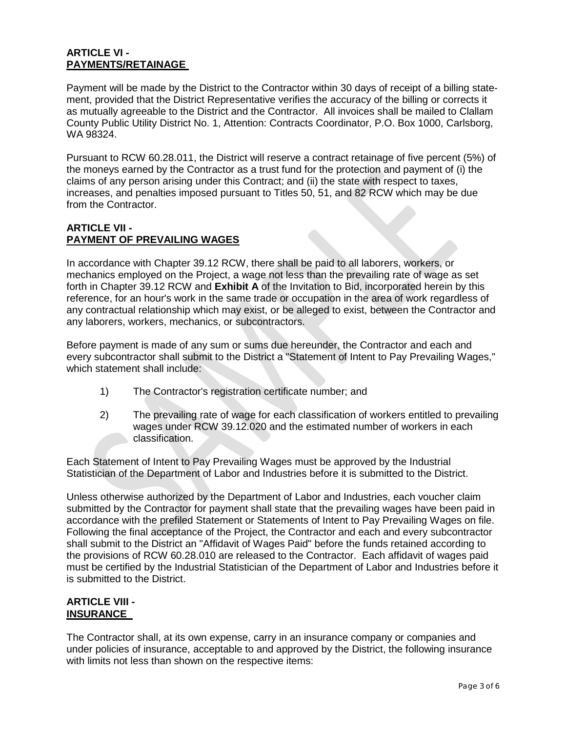## **ARTICLE VI - PAYMENTS/RETAINAGE**

Payment will be made by the District to the Contractor within 30 days of receipt of a billing statement, provided that the District Representative verifies the accuracy of the billing or corrects it as mutually agreeable to the District and the Contractor. All invoices shall be mailed to Clallam County Public Utility District No. 1, Attention: Contracts Coordinator, P.O. Box 1000, Carlsborg, WA 98324.

Pursuant to RCW 60.28.011, the District will reserve a contract retainage of five percent (5%) of the moneys earned by the Contractor as a trust fund for the protection and payment of (i) the claims of any person arising under this Contract; and (ii) the state with respect to taxes, increases, and penalties imposed pursuant to Titles 50, 51, and 82 RCW which may be due from the Contractor.

### **ARTICLE VII - PAYMENT OF PREVAILING WAGES**

In accordance with Chapter 39.12 RCW, there shall be paid to all laborers, workers, or mechanics employed on the Project, a wage not less than the prevailing rate of wage as set forth in Chapter 39.12 RCW and **Exhibit A** of the Invitation to Bid, incorporated herein by this reference, for an hour's work in the same trade or occupation in the area of work regardless of any contractual relationship which may exist, or be alleged to exist, between the Contractor and any laborers, workers, mechanics, or subcontractors.

Before payment is made of any sum or sums due hereunder, the Contractor and each and every subcontractor shall submit to the District a "Statement of Intent to Pay Prevailing Wages," which statement shall include:

- 1) The Contractor's registration certificate number; and
- 2) The prevailing rate of wage for each classification of workers entitled to prevailing wages under RCW 39.12.020 and the estimated number of workers in each classification.

Each Statement of Intent to Pay Prevailing Wages must be approved by the Industrial Statistician of the Department of Labor and Industries before it is submitted to the District.

Unless otherwise authorized by the Department of Labor and Industries, each voucher claim submitted by the Contractor for payment shall state that the prevailing wages have been paid in accordance with the prefiled Statement or Statements of Intent to Pay Prevailing Wages on file. Following the final acceptance of the Project, the Contractor and each and every subcontractor shall submit to the District an "Affidavit of Wages Paid" before the funds retained according to the provisions of RCW 60.28.010 are released to the Contractor. Each affidavit of wages paid must be certified by the Industrial Statistician of the Department of Labor and Industries before it is submitted to the District.

# **ARTICLE VIII - INSURANCE**

The Contractor shall, at its own expense, carry in an insurance company or companies and under policies of insurance, acceptable to and approved by the District, the following insurance with limits not less than shown on the respective items: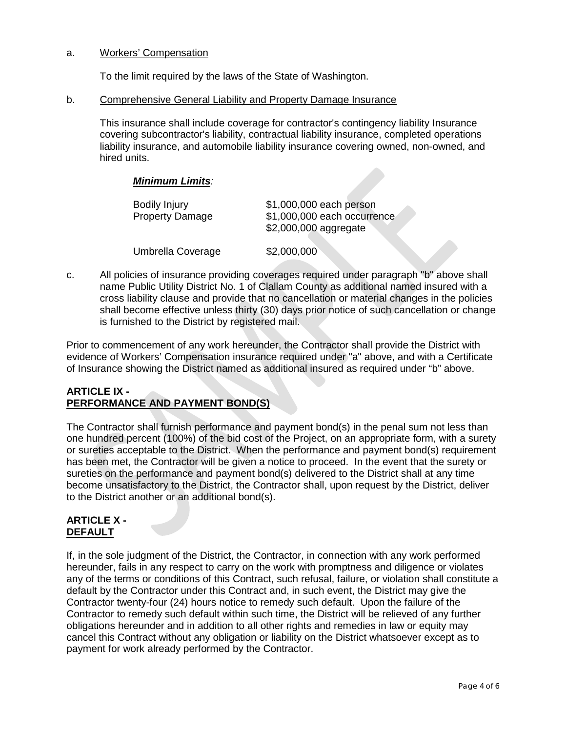#### a. Workers' Compensation

To the limit required by the laws of the State of Washington.

#### b. Comprehensive General Liability and Property Damage Insurance

This insurance shall include coverage for contractor's contingency liability Insurance covering subcontractor's liability, contractual liability insurance, completed operations liability insurance, and automobile liability insurance covering owned, non-owned, and hired units.

#### *Minimum Limits:*

| <b>Bodily Injury</b><br><b>Property Damage</b> | \$1,000,000 each person<br>\$1,000,000 each occurrence<br>\$2,000,000 aggregate |
|------------------------------------------------|---------------------------------------------------------------------------------|
| Umbrella Coverage                              | \$2,000,000                                                                     |

c. All policies of insurance providing coverages required under paragraph "b" above shall name Public Utility District No. 1 of Clallam County as additional named insured with a cross liability clause and provide that no cancellation or material changes in the policies shall become effective unless thirty (30) days prior notice of such cancellation or change is furnished to the District by registered mail.

Prior to commencement of any work hereunder, the Contractor shall provide the District with evidence of Workers' Compensation insurance required under "a" above, and with a Certificate of Insurance showing the District named as additional insured as required under "b" above.

#### **ARTICLE IX - PERFORMANCE AND PAYMENT BOND(S)**

The Contractor shall furnish performance and payment bond(s) in the penal sum not less than one hundred percent (100%) of the bid cost of the Project, on an appropriate form, with a surety or sureties acceptable to the District. When the performance and payment bond(s) requirement has been met, the Contractor will be given a notice to proceed. In the event that the surety or sureties on the performance and payment bond(s) delivered to the District shall at any time become unsatisfactory to the District, the Contractor shall, upon request by the District, deliver to the District another or an additional bond(s).

#### **ARTICLE X - DEFAULT**

If, in the sole judgment of the District, the Contractor, in connection with any work performed hereunder, fails in any respect to carry on the work with promptness and diligence or violates any of the terms or conditions of this Contract, such refusal, failure, or violation shall constitute a default by the Contractor under this Contract and, in such event, the District may give the Contractor twenty-four (24) hours notice to remedy such default. Upon the failure of the Contractor to remedy such default within such time, the District will be relieved of any further obligations hereunder and in addition to all other rights and remedies in law or equity may cancel this Contract without any obligation or liability on the District whatsoever except as to payment for work already performed by the Contractor.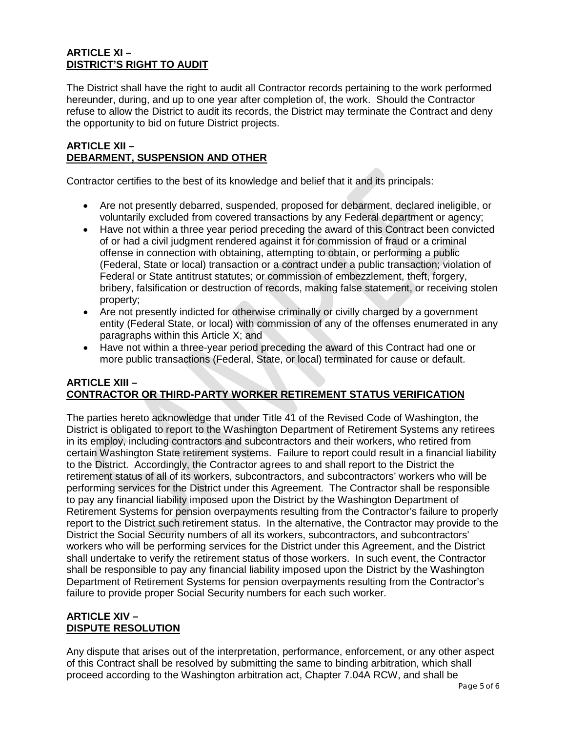## **ARTICLE XI – DISTRICT'S RIGHT TO AUDIT**

The District shall have the right to audit all Contractor records pertaining to the work performed hereunder, during, and up to one year after completion of, the work. Should the Contractor refuse to allow the District to audit its records, the District may terminate the Contract and deny the opportunity to bid on future District projects.

### **ARTICLE XII – DEBARMENT, SUSPENSION AND OTHER**

Contractor certifies to the best of its knowledge and belief that it and its principals:

- Are not presently debarred, suspended, proposed for debarment, declared ineligible, or voluntarily excluded from covered transactions by any Federal department or agency;
- Have not within a three year period preceding the award of this Contract been convicted of or had a civil judgment rendered against it for commission of fraud or a criminal offense in connection with obtaining, attempting to obtain, or performing a public (Federal, State or local) transaction or a contract under a public transaction; violation of Federal or State antitrust statutes; or commission of embezzlement, theft, forgery, bribery, falsification or destruction of records, making false statement, or receiving stolen property;
- Are not presently indicted for otherwise criminally or civilly charged by a government entity (Federal State, or local) with commission of any of the offenses enumerated in any paragraphs within this Article X; and
- Have not within a three-year period preceding the award of this Contract had one or more public transactions (Federal, State, or local) terminated for cause or default.

## **ARTICLE XIII – CONTRACTOR OR THIRD-PARTY WORKER RETIREMENT STATUS VERIFICATION**

The parties hereto acknowledge that under Title 41 of the Revised Code of Washington, the District is obligated to report to the Washington Department of Retirement Systems any retirees in its employ, including contractors and subcontractors and their workers, who retired from certain Washington State retirement systems. Failure to report could result in a financial liability to the District. Accordingly, the Contractor agrees to and shall report to the District the retirement status of all of its workers, subcontractors, and subcontractors' workers who will be performing services for the District under this Agreement. The Contractor shall be responsible to pay any financial liability imposed upon the District by the Washington Department of Retirement Systems for pension overpayments resulting from the Contractor's failure to properly report to the District such retirement status. In the alternative, the Contractor may provide to the District the Social Security numbers of all its workers, subcontractors, and subcontractors' workers who will be performing services for the District under this Agreement, and the District shall undertake to verify the retirement status of those workers. In such event, the Contractor shall be responsible to pay any financial liability imposed upon the District by the Washington Department of Retirement Systems for pension overpayments resulting from the Contractor's failure to provide proper Social Security numbers for each such worker.

# **ARTICLE XIV – DISPUTE RESOLUTION**

Any dispute that arises out of the interpretation, performance, enforcement, or any other aspect of this Contract shall be resolved by submitting the same to binding arbitration, which shall proceed according to the Washington arbitration act, Chapter 7.04A RCW, and shall be